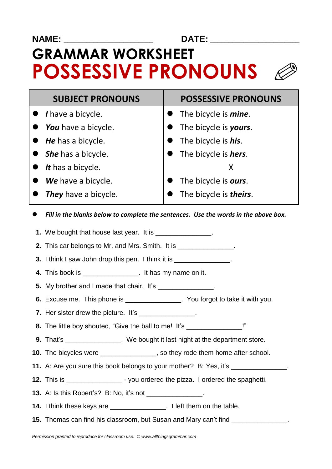### **NAME: \_\_\_\_\_\_\_\_\_\_\_\_\_\_\_\_\_\_\_\_\_\_\_\_ DATE: \_\_\_\_\_\_\_\_\_\_\_\_\_\_\_\_\_\_\_\_\_\_\_\_**

# **GRAMMAR WORKSHEET POSSESSIVE PRONOUNS** l



| <b>SUBJECT PRONOUNS</b>            | <b>POSSESSIVE PRONOUNS</b>     |  |
|------------------------------------|--------------------------------|--|
| $\bullet$ <i>I</i> have a bicycle. | • The bicycle is <i>mine</i> . |  |
| You have a bicycle.                | The bicycle is yours.          |  |
| He has a bicycle.                  | The bicycle is <i>his</i> .    |  |
| • She has a bicycle.               | The bicycle is <i>hers</i> .   |  |
| It has a bicycle.                  | X                              |  |
| We have a bicycle.                 | The bicycle is ours.           |  |
| <b>They</b> have a bicycle.        | The bicycle is <i>theirs</i> . |  |
|                                    |                                |  |

*Fill in the blanks below to complete the sentences. Use the words in the above box.*